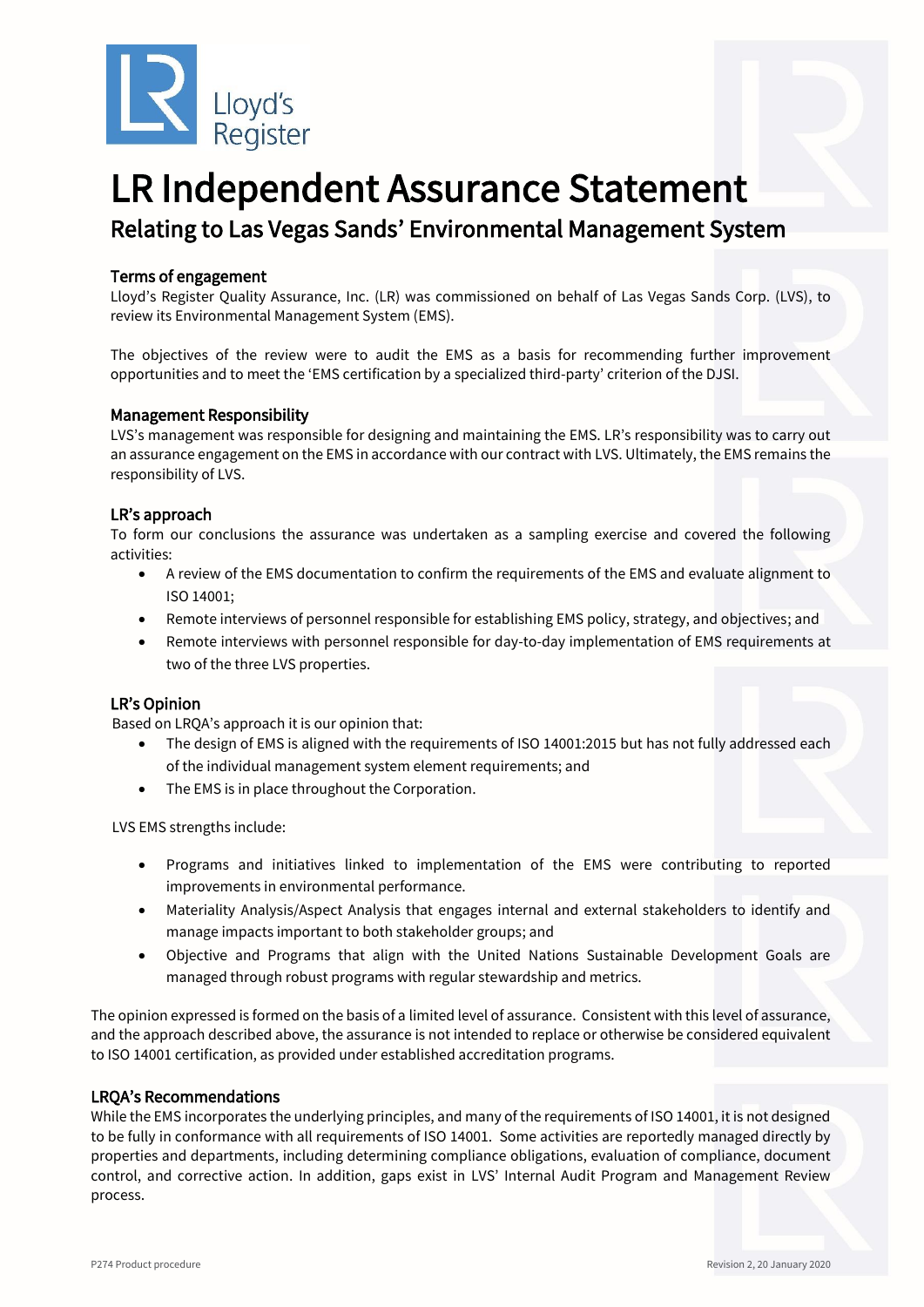

# LR Independent Assurance Statement Relating to Las Vegas Sands' Environmental Management System

## Terms of engagement

Lloyd's Register Quality Assurance, Inc. (LR) was commissioned on behalf of Las Vegas Sands Corp. (LVS), to review its Environmental Management System (EMS).

The objectives of the review were to audit the EMS as a basis for recommending further improvement opportunities and to meet the 'EMS certification by a specialized third-party' criterion of the DJSI.

#### Management Responsibility

LVS's management was responsible for designing and maintaining the EMS. LR's responsibility was to carry out an assurance engagement on the EMS in accordance with our contract with LVS. Ultimately, the EMS remains the responsibility of LVS.

## LR's approach

To form our conclusions the assurance was undertaken as a sampling exercise and covered the following activities:

- A review of the EMS documentation to confirm the requirements of the EMS and evaluate alignment to ISO 14001;
- Remote interviews of personnel responsible for establishing EMS policy, strategy, and objectives; and
- Remote interviews with personnel responsible for day-to-day implementation of EMS requirements at two of the three LVS properties.

## LR's Opinion

Based on LRQA's approach it is our opinion that:

- The design of EMS is aligned with the requirements of ISO 14001:2015 but has not fully addressed each of the individual management system element requirements; and
- The EMS is in place throughout the Corporation.

LVS EMS strengths include:

- Programs and initiatives linked to implementation of the EMS were contributing to reported improvements in environmental performance.
- Materiality Analysis/Aspect Analysis that engages internal and external stakeholders to identify and manage impacts important to both stakeholder groups; and
- Objective and Programs that align with the United Nations Sustainable Development Goals are managed through robust programs with regular stewardship and metrics.

The opinion expressed is formed on the basis of a limited level of assurance. Consistent with this level of assurance, and the approach described above, the assurance is not intended to replace or otherwise be considered equivalent to ISO 14001 certification, as provided under established accreditation programs.

#### LRQA's Recommendations

While the EMS incorporates the underlying principles, and many of the requirements of ISO 14001, it is not designed to be fully in conformance with all requirements of ISO 14001. Some activities are reportedly managed directly by properties and departments, including determining compliance obligations, evaluation of compliance, document control, and corrective action. In addition, gaps exist in LVS' Internal Audit Program and Management Review process.